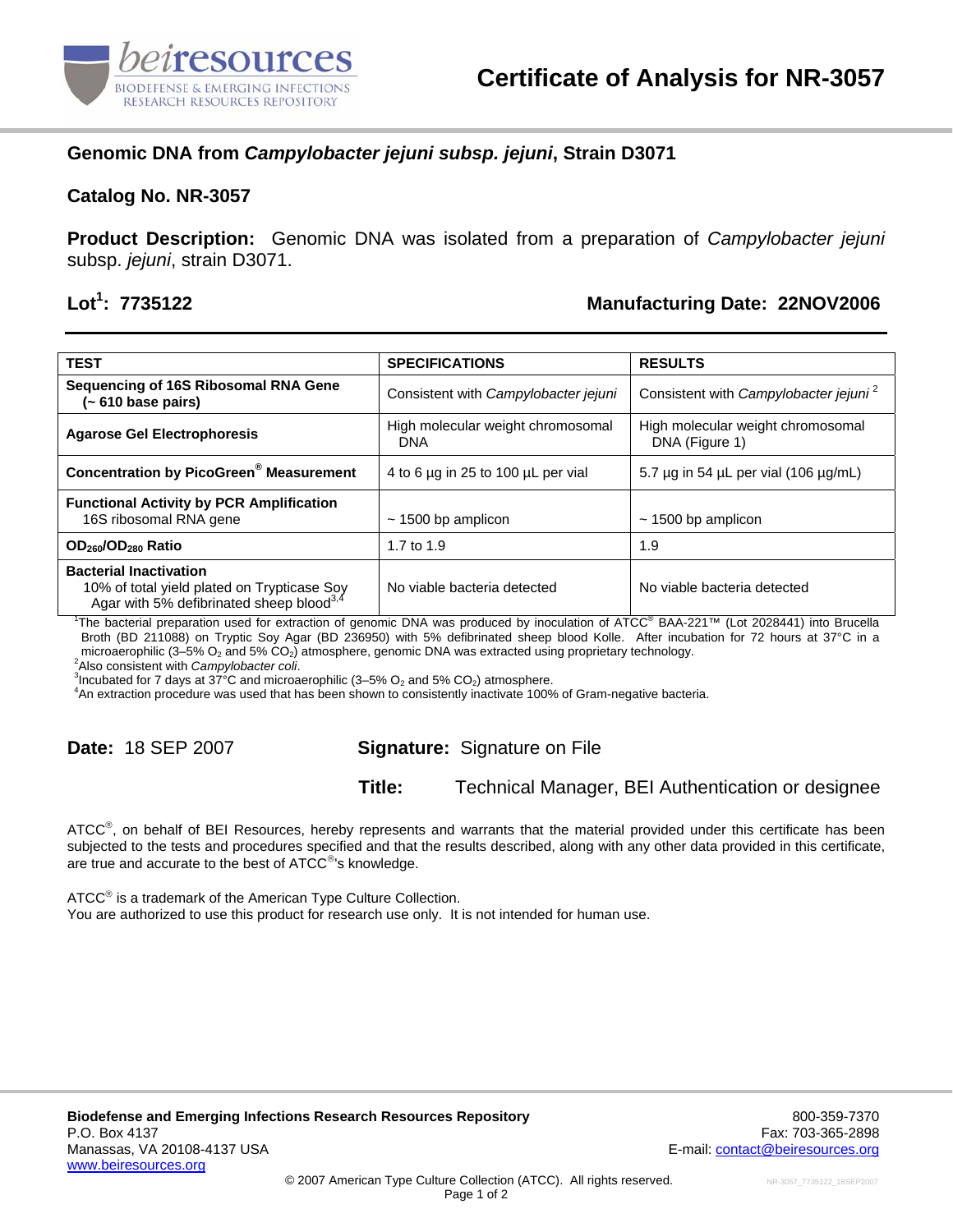

## **Genomic DNA from** *Campylobacter jejuni subsp. jejuni***, Strain D3071**

#### **Catalog No. NR-3057**

**Product Description:** Genomic DNA was isolated from a preparation of *Campylobacter jejuni* subsp. *jejuni*, strain D3071.

# Lot<sup>1</sup>: 7735122

### **: 7735122 Manufacturing Date: 22NOV2006**

| <b>TEST</b>                                                                                                                          | <b>SPECIFICATIONS</b>                           | <b>RESULTS</b>                                      |
|--------------------------------------------------------------------------------------------------------------------------------------|-------------------------------------------------|-----------------------------------------------------|
| Sequencing of 16S Ribosomal RNA Gene<br>(~ 610 base pairs)                                                                           | Consistent with Campylobacter jejuni            | Consistent with Campylobacter jejuni <sup>2</sup>   |
| <b>Agarose Gel Electrophoresis</b>                                                                                                   | High molecular weight chromosomal<br><b>DNA</b> | High molecular weight chromosomal<br>DNA (Figure 1) |
| <b>Concentration by PicoGreen<sup>®</sup> Measurement</b>                                                                            | 4 to 6 µg in 25 to 100 µL per vial              | 5.7 $\mu$ g in 54 $\mu$ L per vial (106 $\mu$ g/mL) |
| <b>Functional Activity by PCR Amplification</b><br>16S ribosomal RNA gene                                                            | $\sim$ 1500 bp amplicon                         | $\sim$ 1500 bp amplicon                             |
| OD <sub>260</sub> /OD <sub>280</sub> Ratio                                                                                           | 1.7 to $1.9$                                    | 1.9                                                 |
| <b>Bacterial Inactivation</b><br>10% of total yield plated on Trypticase Soy<br>Agar with 5% defibrinated sheep blood <sup>3,4</sup> | No viable bacteria detected                     | No viable bacteria detected                         |

1 The bacterial preparation used for extraction of genomic DNA was produced by inoculation of ATCC® BAA-221™ (Lot 2028441) into Brucella Broth (BD 211088) on Tryptic Soy Agar (BD 236950) with 5% defibrinated sheep blood Kolle. After incubation for 72 hours at 37°C in a microaerophilic (3–5%  $O_2$  and 5%  $CO_2$ ) atmosphere, genomic DNA was extracted using proprietary technology.

Also consistent with *Campylobacter coli*. 3

<sup>3</sup> Incubated for 7 days at  $37\degree$ C and microaerophilic (3–5% O<sub>2</sub> and 5% CO<sub>2</sub>) atmosphere.

An extraction procedure was used that has been shown to consistently inactivate 100% of Gram-negative bacteria.

## **Date:** 18 SEP 2007 **Signature:** Signature on File

#### **Title:** Technical Manager, BEI Authentication or designee

ATCC®, on behalf of BEI Resources, hereby represents and warrants that the material provided under this certificate has been subjected to the tests and procedures specified and that the results described, along with any other data provided in this certificate, are true and accurate to the best of ATCC<sup>®</sup>'s knowledge.

ATCC<sup>®</sup> is a trademark of the American Type Culture Collection. You are authorized to use this product for research use only. It is not intended for human use.